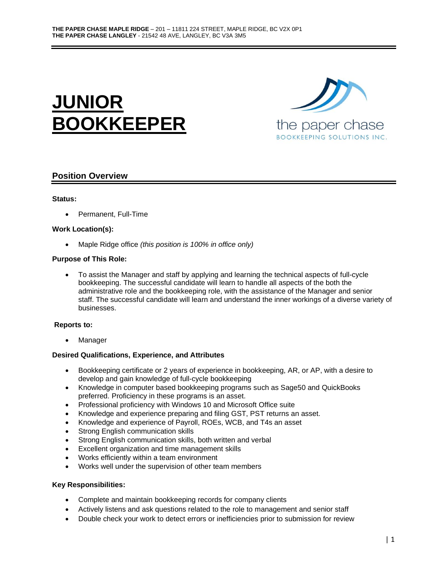



# **Position Overview**

### **Status:**

• Permanent, Full-Time

### **Work Location(s):**

• Maple Ridge office *(this position is 100% in office only)*

### **Purpose of This Role:**

• To assist the Manager and staff by applying and learning the technical aspects of full-cycle bookkeeping. The successful candidate will learn to handle all aspects of the both the administrative role and the bookkeeping role, with the assistance of the Manager and senior staff. The successful candidate will learn and understand the inner workings of a diverse variety of businesses.

### **Reports to:**

**Manager** 

### **Desired Qualifications, Experience, and Attributes**

- Bookkeeping certificate or 2 years of experience in bookkeeping, AR, or AP, with a desire to develop and gain knowledge of full-cycle bookkeeping
- Knowledge in computer based bookkeeping programs such as Sage50 and QuickBooks preferred. Proficiency in these programs is an asset.
- Professional proficiency with Windows 10 and Microsoft Office suite
- Knowledge and experience preparing and filing GST, PST returns an asset.
- Knowledge and experience of Payroll, ROEs, WCB, and T4s an asset
- Strong English communication skills
- Strong English communication skills, both written and verbal
- Excellent organization and time management skills
- Works efficiently within a team environment
- Works well under the supervision of other team members

### **Key Responsibilities:**

- Complete and maintain bookkeeping records for company clients
- Actively listens and ask questions related to the role to management and senior staff
- Double check your work to detect errors or inefficiencies prior to submission for review